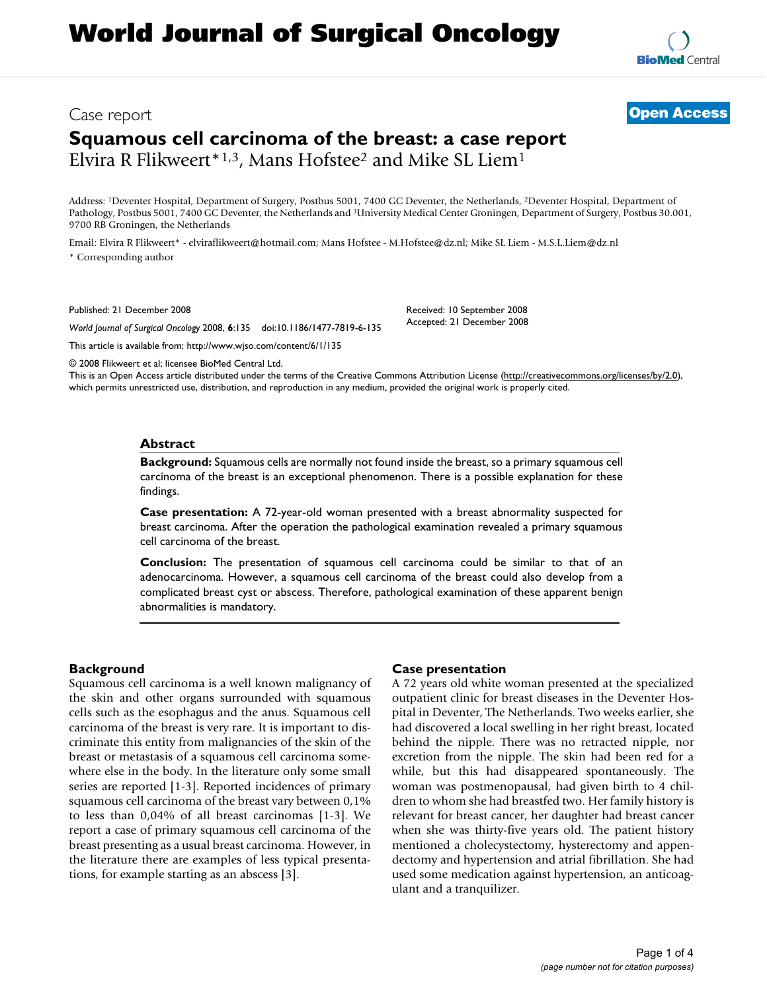Case report **[Open Access](http://www.biomedcentral.com/info/about/charter/)**

# **Squamous cell carcinoma of the breast: a case report** Elvira R Flikweert \* 1,3, Mans Hofstee<sup>2</sup> and Mike SL Liem<sup>1</sup>

Address: 1Deventer Hospital, Department of Surgery, Postbus 5001, 7400 GC Deventer, the Netherlands, 2Deventer Hospital, Department of Pathology, Postbus 5001, 7400 GC Deventer, the Netherlands and 3University Medical Center Groningen, Department of Surgery, Postbus 30.001, 9700 RB Groningen, the Netherlands

Email: Elvira R Flikweert\* - elviraflikweert@hotmail.com; Mans Hofstee - M.Hofstee@dz.nl; Mike SL Liem - M.S.L.Liem@dz.nl \* Corresponding author

Published: 21 December 2008

*World Journal of Surgical Oncology* 2008, **6**:135 doi:10.1186/1477-7819-6-135

[This article is available from: http://www.wjso.com/content/6/1/135](http://www.wjso.com/content/6/1/135)

© 2008 Flikweert et al; licensee BioMed Central Ltd.

This is an Open Access article distributed under the terms of the Creative Commons Attribution License [\(http://creativecommons.org/licenses/by/2.0\)](http://creativecommons.org/licenses/by/2.0), which permits unrestricted use, distribution, and reproduction in any medium, provided the original work is properly cited.

#### **Abstract**

**Background:** Squamous cells are normally not found inside the breast, so a primary squamous cell carcinoma of the breast is an exceptional phenomenon. There is a possible explanation for these findings.

**Case presentation:** A 72-year-old woman presented with a breast abnormality suspected for breast carcinoma. After the operation the pathological examination revealed a primary squamous cell carcinoma of the breast.

**Conclusion:** The presentation of squamous cell carcinoma could be similar to that of an adenocarcinoma. However, a squamous cell carcinoma of the breast could also develop from a complicated breast cyst or abscess. Therefore, pathological examination of these apparent benign abnormalities is mandatory.

# **Background**

Squamous cell carcinoma is a well known malignancy of the skin and other organs surrounded with squamous cells such as the esophagus and the anus. Squamous cell carcinoma of the breast is very rare. It is important to discriminate this entity from malignancies of the skin of the breast or metastasis of a squamous cell carcinoma somewhere else in the body. In the literature only some small series are reported [1-3]. Reported incidences of primary squamous cell carcinoma of the breast vary between 0,1% to less than 0,04% of all breast carcinomas [1-3]. We report a case of primary squamous cell carcinoma of the breast presenting as a usual breast carcinoma. However, in the literature there are examples of less typical presentations, for example starting as an abscess [3].

#### **Case presentation**

A 72 years old white woman presented at the specialized outpatient clinic for breast diseases in the Deventer Hospital in Deventer, The Netherlands. Two weeks earlier, she had discovered a local swelling in her right breast, located behind the nipple. There was no retracted nipple, nor excretion from the nipple. The skin had been red for a while, but this had disappeared spontaneously. The woman was postmenopausal, had given birth to 4 children to whom she had breastfed two. Her family history is relevant for breast cancer, her daughter had breast cancer when she was thirty-five years old. The patient history mentioned a cholecystectomy, hysterectomy and appendectomy and hypertension and atrial fibrillation. She had used some medication against hypertension, an anticoagulant and a tranquilizer.



Received: 10 September 2008

Accepted: 21 December 2008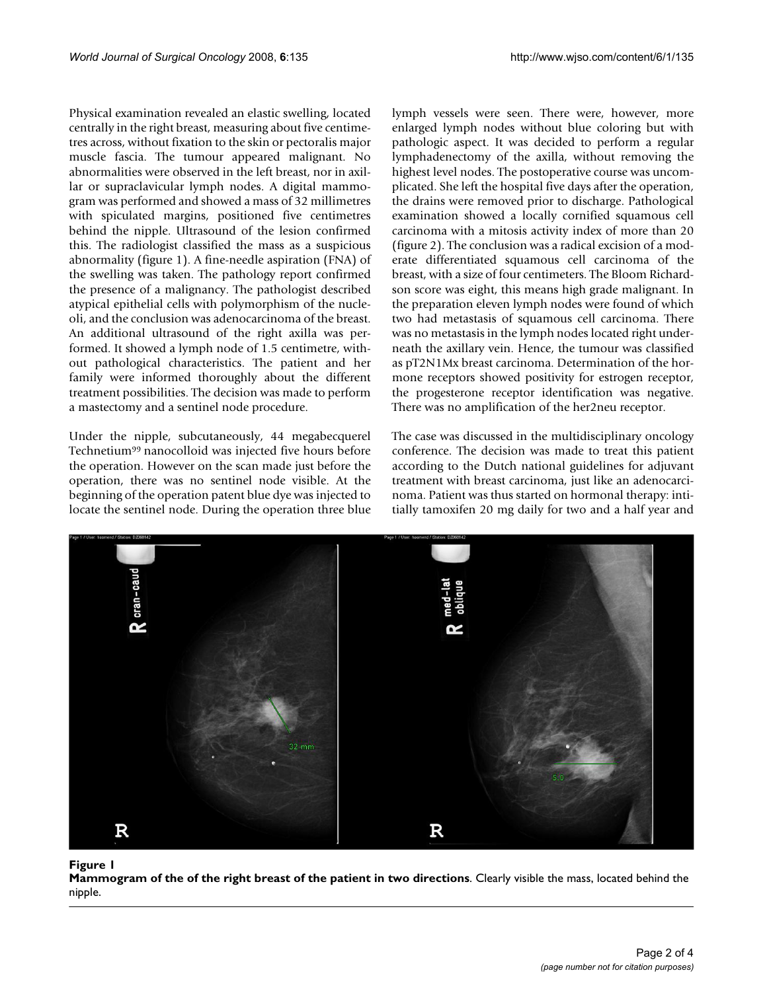Physical examination revealed an elastic swelling, located centrally in the right breast, measuring about five centimetres across, without fixation to the skin or pectoralis major muscle fascia. The tumour appeared malignant. No abnormalities were observed in the left breast, nor in axillar or supraclavicular lymph nodes. A digital mammogram was performed and showed a mass of 32 millimetres with spiculated margins, positioned five centimetres behind the nipple. Ultrasound of the lesion confirmed this. The radiologist classified the mass as a suspicious abnormality (figure 1). A fine-needle aspiration (FNA) of the swelling was taken. The pathology report confirmed the presence of a malignancy. The pathologist described atypical epithelial cells with polymorphism of the nucleoli, and the conclusion was adenocarcinoma of the breast. An additional ultrasound of the right axilla was performed. It showed a lymph node of 1.5 centimetre, without pathological characteristics. The patient and her family were informed thoroughly about the different treatment possibilities. The decision was made to perform a mastectomy and a sentinel node procedure.

Under the nipple, subcutaneously, 44 megabecquerel Technetium99 nanocolloid was injected five hours before the operation. However on the scan made just before the operation, there was no sentinel node visible. At the beginning of the operation patent blue dye was injected to locate the sentinel node. During the operation three blue lymph vessels were seen. There were, however, more enlarged lymph nodes without blue coloring but with pathologic aspect. It was decided to perform a regular lymphadenectomy of the axilla, without removing the highest level nodes. The postoperative course was uncomplicated. She left the hospital five days after the operation, the drains were removed prior to discharge. Pathological examination showed a locally cornified squamous cell carcinoma with a mitosis activity index of more than 20 (figure 2). The conclusion was a radical excision of a moderate differentiated squamous cell carcinoma of the breast, with a size of four centimeters. The Bloom Richardson score was eight, this means high grade malignant. In the preparation eleven lymph nodes were found of which two had metastasis of squamous cell carcinoma. There was no metastasis in the lymph nodes located right underneath the axillary vein. Hence, the tumour was classified as pT2N1Mx breast carcinoma. Determination of the hormone receptors showed positivity for estrogen receptor, the progesterone receptor identification was negative. There was no amplification of the her2neu receptor.

The case was discussed in the multidisciplinary oncology conference. The decision was made to treat this patient according to the Dutch national guidelines for adjuvant treatment with breast carcinoma, just like an adenocarcinoma. Patient was thus started on hormonal therapy: intitially tamoxifen 20 mg daily for two and a half year and



## Figure 1

**Mammogram of the of the right breast of the patient in two directions**. Clearly visible the mass, located behind the nipple.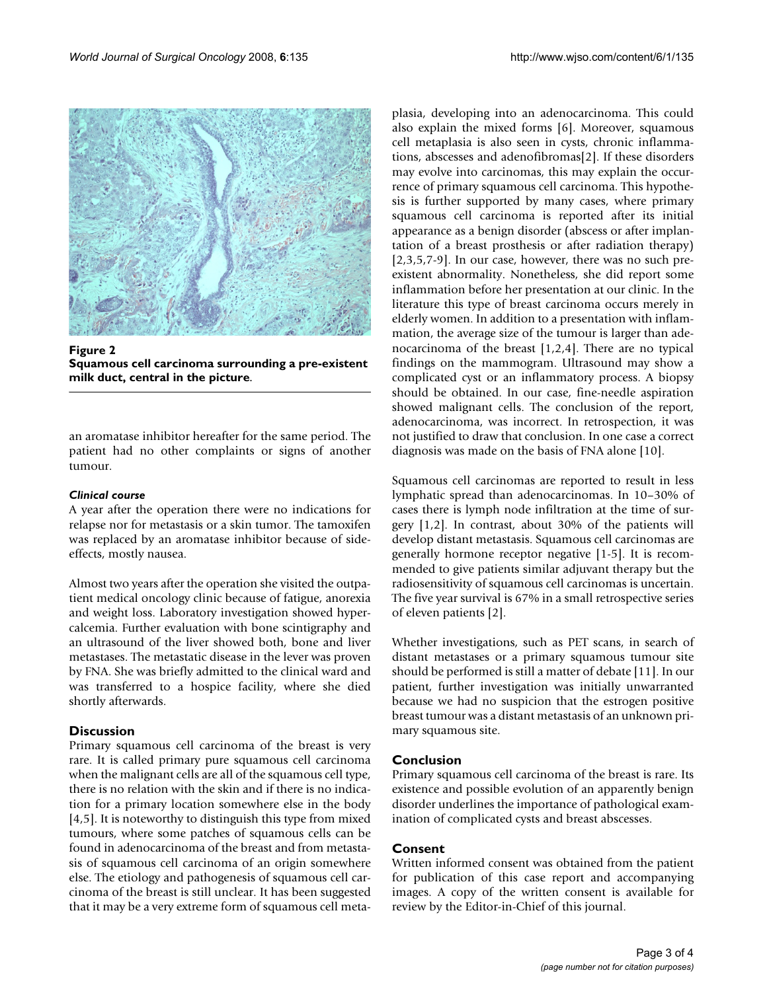

Figure 2 **Squamous cell carcinoma surrounding a pre-existent milk duct, central in the picture**.

an aromatase inhibitor hereafter for the same period. The patient had no other complaints or signs of another tumour.

## *Clinical course*

A year after the operation there were no indications for relapse nor for metastasis or a skin tumor. The tamoxifen was replaced by an aromatase inhibitor because of sideeffects, mostly nausea.

Almost two years after the operation she visited the outpatient medical oncology clinic because of fatigue, anorexia and weight loss. Laboratory investigation showed hypercalcemia. Further evaluation with bone scintigraphy and an ultrasound of the liver showed both, bone and liver metastases. The metastatic disease in the lever was proven by FNA. She was briefly admitted to the clinical ward and was transferred to a hospice facility, where she died shortly afterwards.

# **Discussion**

Primary squamous cell carcinoma of the breast is very rare. It is called primary pure squamous cell carcinoma when the malignant cells are all of the squamous cell type, there is no relation with the skin and if there is no indication for a primary location somewhere else in the body [4,5]. It is noteworthy to distinguish this type from mixed tumours, where some patches of squamous cells can be found in adenocarcinoma of the breast and from metastasis of squamous cell carcinoma of an origin somewhere else. The etiology and pathogenesis of squamous cell carcinoma of the breast is still unclear. It has been suggested that it may be a very extreme form of squamous cell metaplasia, developing into an adenocarcinoma. This could also explain the mixed forms [6]. Moreover, squamous cell metaplasia is also seen in cysts, chronic inflammations, abscesses and adenofibromas[2]. If these disorders may evolve into carcinomas, this may explain the occurrence of primary squamous cell carcinoma. This hypothesis is further supported by many cases, where primary squamous cell carcinoma is reported after its initial appearance as a benign disorder (abscess or after implantation of a breast prosthesis or after radiation therapy) [2,3,5,7-9]. In our case, however, there was no such preexistent abnormality. Nonetheless, she did report some inflammation before her presentation at our clinic. In the literature this type of breast carcinoma occurs merely in elderly women. In addition to a presentation with inflammation, the average size of the tumour is larger than adenocarcinoma of the breast [1,2,4]. There are no typical findings on the mammogram. Ultrasound may show a complicated cyst or an inflammatory process. A biopsy should be obtained. In our case, fine-needle aspiration showed malignant cells. The conclusion of the report, adenocarcinoma, was incorrect. In retrospection, it was not justified to draw that conclusion. In one case a correct diagnosis was made on the basis of FNA alone [10].

Squamous cell carcinomas are reported to result in less lymphatic spread than adenocarcinomas. In 10–30% of cases there is lymph node infiltration at the time of surgery [1,2]. In contrast, about 30% of the patients will develop distant metastasis. Squamous cell carcinomas are generally hormone receptor negative [1-5]. It is recommended to give patients similar adjuvant therapy but the radiosensitivity of squamous cell carcinomas is uncertain. The five year survival is 67% in a small retrospective series of eleven patients [2].

Whether investigations, such as PET scans, in search of distant metastases or a primary squamous tumour site should be performed is still a matter of debate [11]. In our patient, further investigation was initially unwarranted because we had no suspicion that the estrogen positive breast tumour was a distant metastasis of an unknown primary squamous site.

# **Conclusion**

Primary squamous cell carcinoma of the breast is rare. Its existence and possible evolution of an apparently benign disorder underlines the importance of pathological examination of complicated cysts and breast abscesses.

## **Consent**

Written informed consent was obtained from the patient for publication of this case report and accompanying images. A copy of the written consent is available for review by the Editor-in-Chief of this journal.